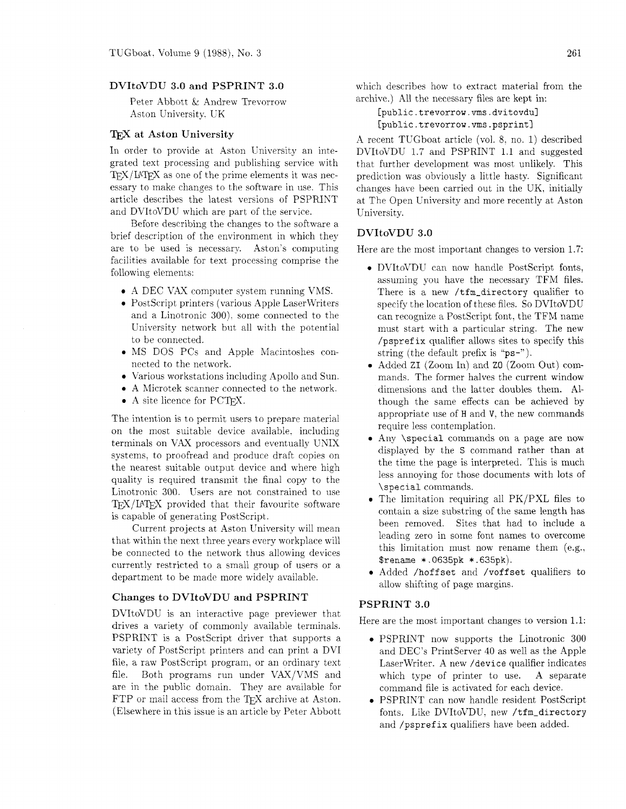## **DVItoVDU 3.0 and PSPRINT 3.0**

Peter Abbott & Andrew Trevorrow Aston University. UK

#### T<sub>E</sub>X at Aston University

In order to provide at Aston University an integrated text processing and publishing service with  $T_{\rm F}X/\text{IAT}_{\rm F}X$  as one of the prime elements it was necessary to make changes to the software in use. This article describes the latest versions of PSPRIKT and DVItoVDU which are part of the service.

Before describing the changes to the software a brief description of the environment in which they are to be used is necessary. Aston's computing facilities available for text processing comprise the following elements:

- A DEC VAX computer system running VMS.
- PostScript printers (various Apple LaserWriters and a Linotronic 300). some connected to the University network but all with the potential to be connected.
- MS DOS PCs and Apple Macintoshes connected to the network.
- $\bullet$  Various workstations including Apollo and Sun.
- A hlicrotek scanner connected to the network.
- A site licence for PCT<sub>F</sub>X.

The intention is to permit users to prepare material on the most suitable device available. including terminals on VAX processors and eventually UNIX systems. to proofread and produce draft copies on the nearest suitable output device and where high quality is required transmit the final copy to the Linotronic 300. Users are not constrained to use  $T_{F}X/IAT_{F}X$  provided that their favourite software is capable of generating PostScript.

Current projects at Aston University will mean that within the next three years every workplace will be connected to the network thus allowing devices currently restricted to a small group of users or a department to be made more widely available.

## **Changes to DVItoVDU and PSPRINT**

DVItoVDU is an interactive page previewer that drives a variety of commonly available terminals. PSPRINT is a PostScript driver that supports a variety of PostScript printers and can print a DVI file. a raw PostScript program. or an ordinary text file. Both programs run under VAX/VMS and are in the public domain. They are available for FTP or mail access from the T<sub>F</sub>X archive at Aston. (Elsewhere in this issue is an article by Peter Abbott which describes how to extract material from the archive.) All the necessary files are kept in:

[public.trevorrow.vms.dvitovdu] [public.trevorrow.vms.psprint]

A recent TUGboat article (vol. 8. no. I) described DVItoVDU 1.7 and PSPRINT 1.1 and suggested that further development was most unlikely. This prediction was obviously a little hasty. Significant changes have been carried out in the UK, initially at The Open University and more recently at Aston University.

#### **DVItoVDU 3.0**

Here are the most important changes to version 1.7:

- DVItoVDU can now handle PostScript fonts, assuming you have the necessary TFM files. There is a new /tfm\_directory qualifier to specify the location of these files. So DVItoVDU can recognize a PostScript font, the TFM name must start with a particular string. The new /pspref ix qualifier allows sites to specify this string (the default prefix is "ps-").
- Added ZI (Zoom In) and ZO (Zoom Out) commands. The former halves the current window dimensions and the latter doubles them. Although the same effects can be achieved by appropriate use of **H** and **V,** the new commands require less contemplation.
- Any \special commands on a page are now displayed by the S command rather than at the time the page is interpreted. This is much less annoying for those documents with lots of \special commands.
- The limitation requiring all PK/PXL files to contain a size substring of the same length has been removed. Sites that had to include a leading zero in some font names to overcome this limitation must now rename them (e.g., \$rename \* .0635pk \* .635pk).
- Added /hoffset and /voffset qualifiers to allow shifting of page margins.

## **PSPRINT 3.0**

Here are the most important changes to version 1.1:

- PSPRINT now supports the Linotronic 300 and DEC's Printserver 40 as well as the Apple Laserwriter. A new /device qualifier indicates which type of printer to use. A separate command file is activated for each device.
- PSPRINT can now handle resident PostScript fonts. Like DVItoVDU, new /tfm\_directory and /psprefix qualifiers have been added.